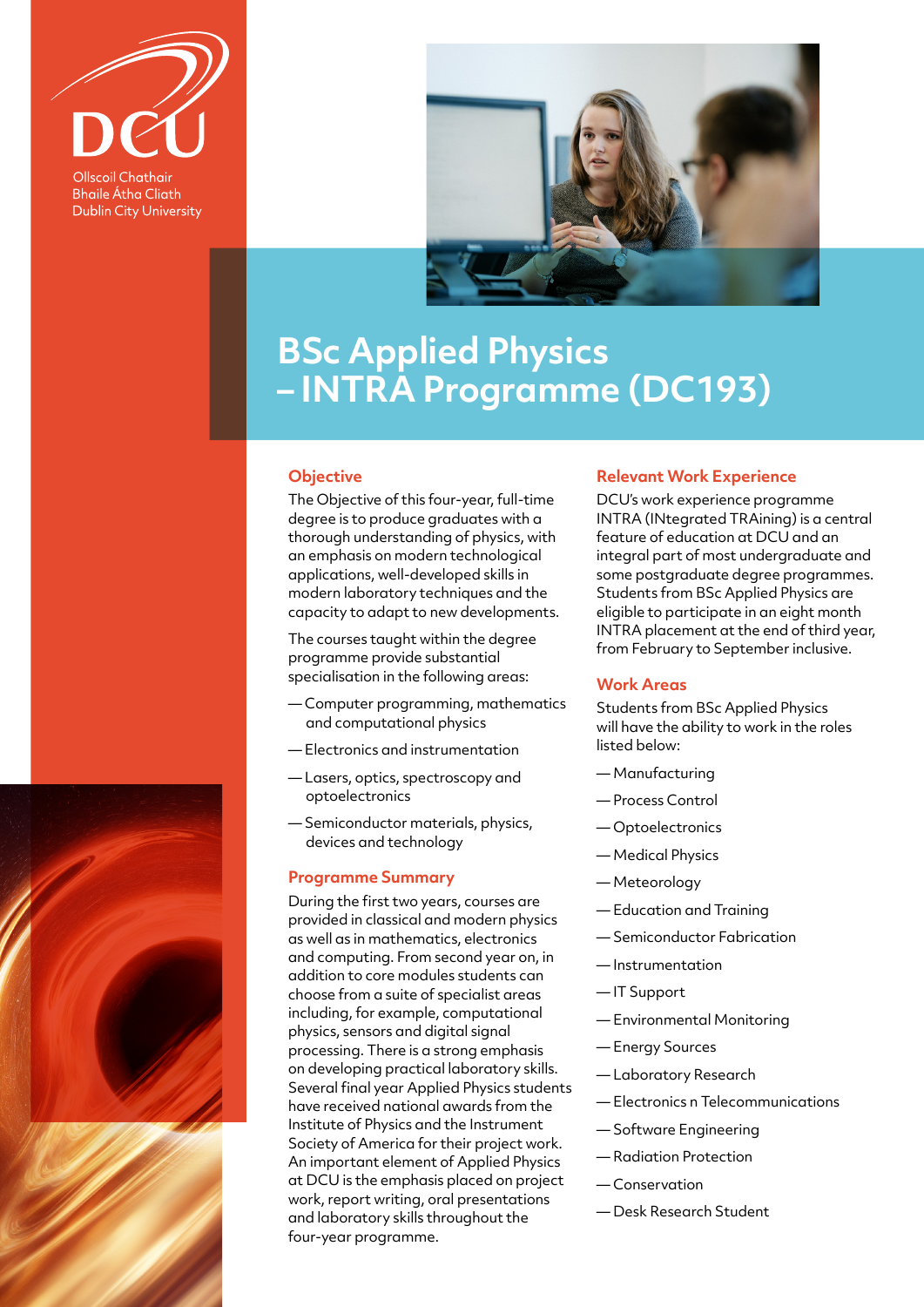

**Bhaile Átha Cliath Dublin City University** 



# **BSc Applied Physics – INTRA Programme (DC193)**

#### **Objective**

The Objective of this four-year, full-time degree is to produce graduates with a thorough understanding of physics, with an emphasis on modern technological applications, well-developed skills in modern laboratory techniques and the capacity to adapt to new developments.

The courses taught within the degree programme provide substantial specialisation in the following areas:

- Computer programming, mathematics and computational physics
- Electronics and instrumentation
- Lasers, optics, spectroscopy and optoelectronics
- Semiconductor materials, physics, devices and technology

### **Programme Summary**

During the first two years, courses are provided in classical and modern physics as well as in mathematics, electronics and computing. From second year on, in addition to core modules students can choose from a suite of specialist areas including, for example, computational physics, sensors and digital signal processing. There is a strong emphasis on developing practical laboratory skills. Several final year Applied Physics students have received national awards from the Institute of Physics and the Instrument Society of America for their project work. An important element of Applied Physics at DCU is the emphasis placed on project work, report writing, oral presentations and laboratory skills throughout the four-year programme.

## **Relevant Work Experience**

DCU's work experience programme INTRA (INtegrated TRAining) is a central feature of education at DCU and an integral part of most undergraduate and some postgraduate degree programmes. Students from BSc Applied Physics are eligible to participate in an eight month INTRA placement at the end of third year, from February to September inclusive.

#### **Work Areas**

Students from BSc Applied Physics will have the ability to work in the roles listed below:

- Manufacturing
- Process Control
- Optoelectronics
- Medical Physics
- Meteorology
- Education and Training
- Semiconductor Fabrication
- Instrumentation
- IT Support
- Environmental Monitoring
- Energy Sources
- Laboratory Research
- Electronics n Telecommunications
- Software Engineering
- Radiation Protection
- Conservation
- Desk Research Student